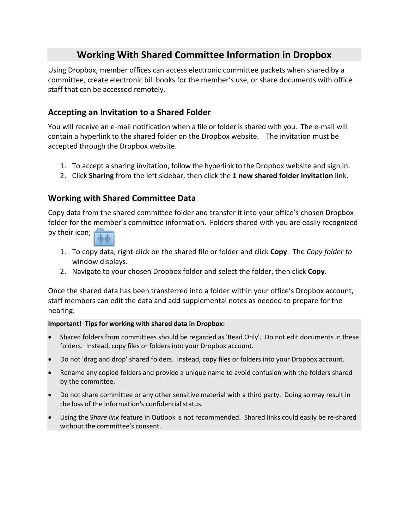# **Working With Shared Committee Information in Dropbox**

Using Dropbox, member offices can access electronic committee packets when shared by a committee, create electronic bill books for the member's use, or share documents with office staff that can be accessed remotely.

### **Accepting an Invitation to a Shared Folder**

You will receive an e-mail notification when a file or folder is shared with you. The e-mail will contain a hyperlink to the shared folder on the Dropbox website. The invitation must be accepted through the Dropbox website.

- 1. To accept a sharing invitation, follow the hyperlink to the Dropbox website and sign in.
- 2. Click **Sharing** from the left sidebar, then click the **1 new shared folder invitation** link.

### **Working with Shared Committee Data**

Copy data from the shared committee folder and transfer it into your office's chosen Dropbox folder for the member's committee information. Folders shared with you are easily recognized by their icon;



- 1. To copy data, right-click on the shared file or folder and click **Copy**. The *Copy folder to* window displays.
- 2. Navigate to your chosen Dropbox folder and select the folder, then click **Copy**.

Once the shared data has been transferred into a folder within your office's Dropbox account, staff members can edit the data and add supplemental notes as needed to prepare for the hearing.

#### **Important! Tips for working with shared data in Dropbox:**

- Shared folders from committees should be regarded as 'Read Only'. Do not edit documents in these folders. Instead, copy files or folders into your Dropbox account.
- Do not 'drag and drop' shared folders. Instead, copy files or folders into your Dropbox account.
- Rename any copied folders and provide a unique name to avoid confusion with the folders shared by the committee.
- Do not share committee or any other sensitive material with a third party. Doing so may result in the loss of the information's confidential status.
- Using the S*hare link* feature in Outlook is not recommended. Shared links could easily be re-shared without the committee's consent.